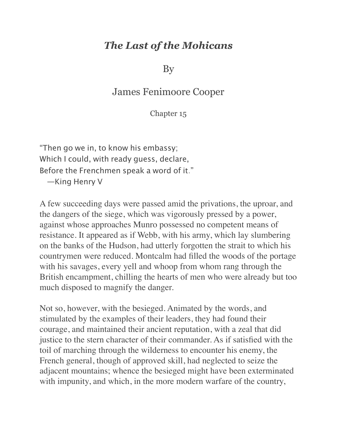## *The Last of the Mohicans*

By

## James Fenimoore Cooper

## Chapter 15

"Then go we in, to know his embassy; Which I could, with ready guess, declare, Before the Frenchmen speak a word of it." —King Henry V

A few succeeding days were passed amid the privations, the uproar, and the dangers of the siege, which was vigorously pressed by a power, against whose approaches Munro possessed no competent means of resistance. It appeared as if Webb, with his army, which lay slumbering on the banks of the Hudson, had utterly forgotten the strait to which his countrymen were reduced. Montcalm had filled the woods of the portage with his savages, every yell and whoop from whom rang through the British encampment, chilling the hearts of men who were already but too much disposed to magnify the danger.

Not so, however, with the besieged. Animated by the words, and stimulated by the examples of their leaders, they had found their courage, and maintained their ancient reputation, with a zeal that did justice to the stern character of their commander. As if satisfied with the toil of marching through the wilderness to encounter his enemy, the French general, though of approved skill, had neglected to seize the adjacent mountains; whence the besieged might have been exterminated with impunity, and which, in the more modern warfare of the country,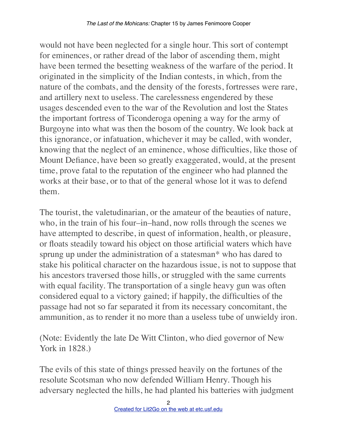would not have been neglected for a single hour. This sort of contempt for eminences, or rather dread of the labor of ascending them, might have been termed the besetting weakness of the warfare of the period. It originated in the simplicity of the Indian contests, in which, from the nature of the combats, and the density of the forests, fortresses were rare, and artillery next to useless. The carelessness engendered by these usages descended even to the war of the Revolution and lost the States the important fortress of Ticonderoga opening a way for the army of Burgoyne into what was then the bosom of the country. We look back at this ignorance, or infatuation, whichever it may be called, with wonder, knowing that the neglect of an eminence, whose difficulties, like those of Mount Defiance, have been so greatly exaggerated, would, at the present time, prove fatal to the reputation of the engineer who had planned the works at their base, or to that of the general whose lot it was to defend them.

The tourist, the valetudinarian, or the amateur of the beauties of nature, who, in the train of his four–in–hand, now rolls through the scenes we have attempted to describe, in quest of information, health, or pleasure, or floats steadily toward his object on those artificial waters which have sprung up under the administration of a statesman\* who has dared to stake his political character on the hazardous issue, is not to suppose that his ancestors traversed those hills, or struggled with the same currents with equal facility. The transportation of a single heavy gun was often considered equal to a victory gained; if happily, the difficulties of the passage had not so far separated it from its necessary concomitant, the ammunition, as to render it no more than a useless tube of unwieldy iron.

(Note: Evidently the late De Witt Clinton, who died governor of New York in 1828.)

The evils of this state of things pressed heavily on the fortunes of the resolute Scotsman who now defended William Henry. Though his adversary neglected the hills, he had planted his batteries with judgment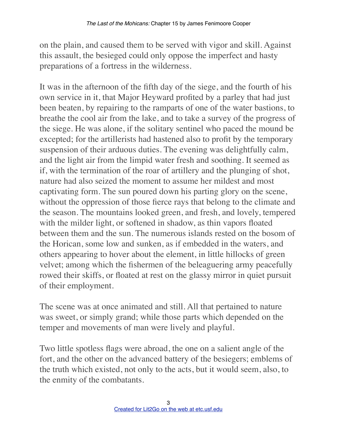on the plain, and caused them to be served with vigor and skill. Against this assault, the besieged could only oppose the imperfect and hasty preparations of a fortress in the wilderness.

It was in the afternoon of the fifth day of the siege, and the fourth of his own service in it, that Major Heyward profited by a parley that had just been beaten, by repairing to the ramparts of one of the water bastions, to breathe the cool air from the lake, and to take a survey of the progress of the siege. He was alone, if the solitary sentinel who paced the mound be excepted; for the artillerists had hastened also to profit by the temporary suspension of their arduous duties. The evening was delightfully calm, and the light air from the limpid water fresh and soothing. It seemed as if, with the termination of the roar of artillery and the plunging of shot, nature had also seized the moment to assume her mildest and most captivating form. The sun poured down his parting glory on the scene, without the oppression of those fierce rays that belong to the climate and the season. The mountains looked green, and fresh, and lovely, tempered with the milder light, or softened in shadow, as thin vapors floated between them and the sun. The numerous islands rested on the bosom of the Horican, some low and sunken, as if embedded in the waters, and others appearing to hover about the element, in little hillocks of green velvet; among which the fishermen of the beleaguering army peacefully rowed their skiffs, or floated at rest on the glassy mirror in quiet pursuit of their employment.

The scene was at once animated and still. All that pertained to nature was sweet, or simply grand; while those parts which depended on the temper and movements of man were lively and playful.

Two little spotless flags were abroad, the one on a salient angle of the fort, and the other on the advanced battery of the besiegers; emblems of the truth which existed, not only to the acts, but it would seem, also, to the enmity of the combatants.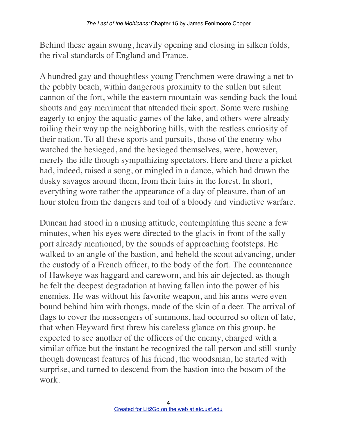Behind these again swung, heavily opening and closing in silken folds, the rival standards of England and France.

A hundred gay and thoughtless young Frenchmen were drawing a net to the pebbly beach, within dangerous proximity to the sullen but silent cannon of the fort, while the eastern mountain was sending back the loud shouts and gay merriment that attended their sport. Some were rushing eagerly to enjoy the aquatic games of the lake, and others were already toiling their way up the neighboring hills, with the restless curiosity of their nation. To all these sports and pursuits, those of the enemy who watched the besieged, and the besieged themselves, were, however, merely the idle though sympathizing spectators. Here and there a picket had, indeed, raised a song, or mingled in a dance, which had drawn the dusky savages around them, from their lairs in the forest. In short, everything wore rather the appearance of a day of pleasure, than of an hour stolen from the dangers and toil of a bloody and vindictive warfare.

Duncan had stood in a musing attitude, contemplating this scene a few minutes, when his eyes were directed to the glacis in front of the sally– port already mentioned, by the sounds of approaching footsteps. He walked to an angle of the bastion, and beheld the scout advancing, under the custody of a French officer, to the body of the fort. The countenance of Hawkeye was haggard and careworn, and his air dejected, as though he felt the deepest degradation at having fallen into the power of his enemies. He was without his favorite weapon, and his arms were even bound behind him with thongs, made of the skin of a deer. The arrival of flags to cover the messengers of summons, had occurred so often of late, that when Heyward first threw his careless glance on this group, he expected to see another of the officers of the enemy, charged with a similar office but the instant he recognized the tall person and still sturdy though downcast features of his friend, the woodsman, he started with surprise, and turned to descend from the bastion into the bosom of the work.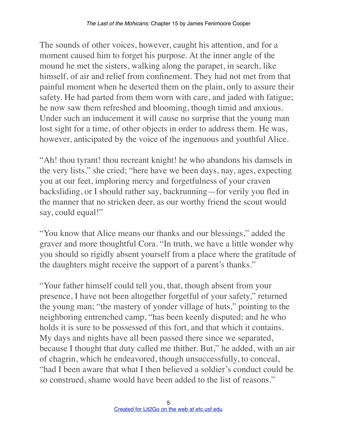The sounds of other voices, however, caught his attention, and for a moment caused him to forget his purpose. At the inner angle of the mound he met the sisters, walking along the parapet, in search, like himself, of air and relief from confinement. They had not met from that painful moment when he deserted them on the plain, only to assure their safety. He had parted from them worn with care, and jaded with fatigue; he now saw them refreshed and blooming, though timid and anxious. Under such an inducement it will cause no surprise that the young man lost sight for a time, of other objects in order to address them. He was, however, anticipated by the voice of the ingenuous and youthful Alice.

"Ah! thou tyrant! thou recreant knight! he who abandons his damsels in the very lists," she cried; "here have we been days, nay, ages, expecting you at our feet, imploring mercy and forgetfulness of your craven backsliding, or I should rather say, backrunning—for verily you fled in the manner that no stricken deer, as our worthy friend the scout would say, could equal!"

"You know that Alice means our thanks and our blessings," added the graver and more thoughtful Cora. "In truth, we have a little wonder why you should so rigidly absent yourself from a place where the gratitude of the daughters might receive the support of a parent's thanks."

"Your father himself could tell you, that, though absent from your presence, I have not been altogether forgetful of your safety," returned the young man; "the mastery of yonder village of huts," pointing to the neighboring entrenched camp, "has been keenly disputed; and he who holds it is sure to be possessed of this fort, and that which it contains. My days and nights have all been passed there since we separated, because I thought that duty called me thither. But," he added, with an air of chagrin, which he endeavored, though unsuccessfully, to conceal, "had I been aware that what I then believed a soldier's conduct could be so construed, shame would have been added to the list of reasons."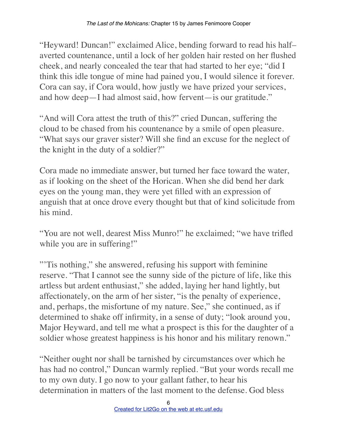"Heyward! Duncan!" exclaimed Alice, bending forward to read his half– averted countenance, until a lock of her golden hair rested on her flushed cheek, and nearly concealed the tear that had started to her eye; "did I think this idle tongue of mine had pained you, I would silence it forever. Cora can say, if Cora would, how justly we have prized your services, and how deep—I had almost said, how fervent—is our gratitude."

"And will Cora attest the truth of this?" cried Duncan, suffering the cloud to be chased from his countenance by a smile of open pleasure. "What says our graver sister? Will she find an excuse for the neglect of the knight in the duty of a soldier?"

Cora made no immediate answer, but turned her face toward the water, as if looking on the sheet of the Horican. When she did bend her dark eyes on the young man, they were yet filled with an expression of anguish that at once drove every thought but that of kind solicitude from his mind.

"You are not well, dearest Miss Munro!" he exclaimed; "we have trifled while you are in suffering!"

"Tis nothing," she answered, refusing his support with feminine reserve. "That I cannot see the sunny side of the picture of life, like this artless but ardent enthusiast," she added, laying her hand lightly, but affectionately, on the arm of her sister, "is the penalty of experience, and, perhaps, the misfortune of my nature. See," she continued, as if determined to shake off infirmity, in a sense of duty; "look around you, Major Heyward, and tell me what a prospect is this for the daughter of a soldier whose greatest happiness is his honor and his military renown."

"Neither ought nor shall be tarnished by circumstances over which he has had no control," Duncan warmly replied. "But your words recall me to my own duty. I go now to your gallant father, to hear his determination in matters of the last moment to the defense. God bless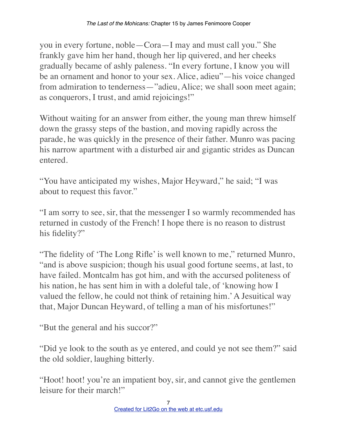you in every fortune, noble—Cora—I may and must call you." She frankly gave him her hand, though her lip quivered, and her cheeks gradually became of ashly paleness. "In every fortune, I know you will be an ornament and honor to your sex. Alice, adieu"—his voice changed from admiration to tenderness—"adieu, Alice; we shall soon meet again; as conquerors, I trust, and amid rejoicings!"

Without waiting for an answer from either, the young man threw himself down the grassy steps of the bastion, and moving rapidly across the parade, he was quickly in the presence of their father. Munro was pacing his narrow apartment with a disturbed air and gigantic strides as Duncan entered.

"You have anticipated my wishes, Major Heyward," he said; "I was about to request this favor."

"I am sorry to see, sir, that the messenger I so warmly recommended has returned in custody of the French! I hope there is no reason to distrust his fidelity?"

"The fidelity of 'The Long Rifle' is well known to me," returned Munro, "and is above suspicion; though his usual good fortune seems, at last, to have failed. Montcalm has got him, and with the accursed politeness of his nation, he has sent him in with a doleful tale, of 'knowing how I valued the fellow, he could not think of retaining him.' A Jesuitical way that, Major Duncan Heyward, of telling a man of his misfortunes!"

"But the general and his succor?"

"Did ye look to the south as ye entered, and could ye not see them?" said the old soldier, laughing bitterly.

"Hoot! hoot! you're an impatient boy, sir, and cannot give the gentlemen leisure for their march!"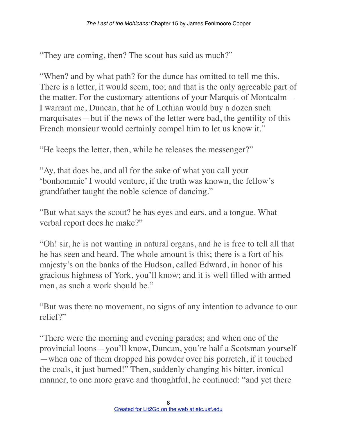"They are coming, then? The scout has said as much?"

"When? and by what path? for the dunce has omitted to tell me this. There is a letter, it would seem, too; and that is the only agreeable part of the matter. For the customary attentions of your Marquis of Montcalm— I warrant me, Duncan, that he of Lothian would buy a dozen such marquisates—but if the news of the letter were bad, the gentility of this French monsieur would certainly compel him to let us know it."

"He keeps the letter, then, while he releases the messenger?"

"Ay, that does he, and all for the sake of what you call your 'bonhommie' I would venture, if the truth was known, the fellow's grandfather taught the noble science of dancing."

"But what says the scout? he has eyes and ears, and a tongue. What verbal report does he make?"

"Oh! sir, he is not wanting in natural organs, and he is free to tell all that he has seen and heard. The whole amount is this; there is a fort of his majesty's on the banks of the Hudson, called Edward, in honor of his gracious highness of York, you'll know; and it is well filled with armed men, as such a work should be."

"But was there no movement, no signs of any intention to advance to our relief?"

"There were the morning and evening parades; and when one of the provincial loons—you'll know, Duncan, you're half a Scotsman yourself —when one of them dropped his powder over his porretch, if it touched the coals, it just burned!" Then, suddenly changing his bitter, ironical manner, to one more grave and thoughtful, he continued: "and yet there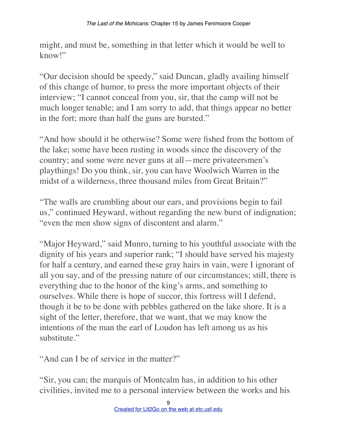might, and must be, something in that letter which it would be well to know!"

"Our decision should be speedy," said Duncan, gladly availing himself of this change of humor, to press the more important objects of their interview; "I cannot conceal from you, sir, that the camp will not be much longer tenable; and I am sorry to add, that things appear no better in the fort; more than half the guns are bursted."

"And how should it be otherwise? Some were fished from the bottom of the lake; some have been rusting in woods since the discovery of the country; and some were never guns at all—mere privateersmen's playthings! Do you think, sir, you can have Woolwich Warren in the midst of a wilderness, three thousand miles from Great Britain?"

"The walls are crumbling about our ears, and provisions begin to fail us," continued Heyward, without regarding the new burst of indignation; "even the men show signs of discontent and alarm."

"Major Heyward," said Munro, turning to his youthful associate with the dignity of his years and superior rank; "I should have served his majesty for half a century, and earned these gray hairs in vain, were I ignorant of all you say, and of the pressing nature of our circumstances; still, there is everything due to the honor of the king's arms, and something to ourselves. While there is hope of succor, this fortress will I defend, though it be to be done with pebbles gathered on the lake shore. It is a sight of the letter, therefore, that we want, that we may know the intentions of the man the earl of Loudon has left among us as his substitute."

"And can I be of service in the matter?"

"Sir, you can; the marquis of Montcalm has, in addition to his other civilities, invited me to a personal interview between the works and his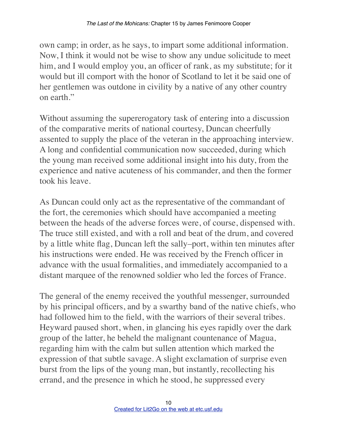own camp; in order, as he says, to impart some additional information. Now, I think it would not be wise to show any undue solicitude to meet him, and I would employ you, an officer of rank, as my substitute; for it would but ill comport with the honor of Scotland to let it be said one of her gentlemen was outdone in civility by a native of any other country on earth."

Without assuming the supererogatory task of entering into a discussion of the comparative merits of national courtesy, Duncan cheerfully assented to supply the place of the veteran in the approaching interview. A long and confidential communication now succeeded, during which the young man received some additional insight into his duty, from the experience and native acuteness of his commander, and then the former took his leave.

As Duncan could only act as the representative of the commandant of the fort, the ceremonies which should have accompanied a meeting between the heads of the adverse forces were, of course, dispensed with. The truce still existed, and with a roll and beat of the drum, and covered by a little white flag, Duncan left the sally–port, within ten minutes after his instructions were ended. He was received by the French officer in advance with the usual formalities, and immediately accompanied to a distant marquee of the renowned soldier who led the forces of France.

The general of the enemy received the youthful messenger, surrounded by his principal officers, and by a swarthy band of the native chiefs, who had followed him to the field, with the warriors of their several tribes. Heyward paused short, when, in glancing his eyes rapidly over the dark group of the latter, he beheld the malignant countenance of Magua, regarding him with the calm but sullen attention which marked the expression of that subtle savage. A slight exclamation of surprise even burst from the lips of the young man, but instantly, recollecting his errand, and the presence in which he stood, he suppressed every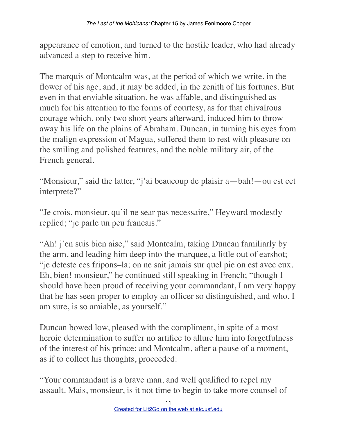appearance of emotion, and turned to the hostile leader, who had already advanced a step to receive him.

The marquis of Montcalm was, at the period of which we write, in the flower of his age, and, it may be added, in the zenith of his fortunes. But even in that enviable situation, he was affable, and distinguished as much for his attention to the forms of courtesy, as for that chivalrous courage which, only two short years afterward, induced him to throw away his life on the plains of Abraham. Duncan, in turning his eyes from the malign expression of Magua, suffered them to rest with pleasure on the smiling and polished features, and the noble military air, of the French general.

"Monsieur," said the latter, "j'ai beaucoup de plaisir a—bah!—ou est cet interprete?"

"Je crois, monsieur, qu'il ne sear pas necessaire," Heyward modestly replied; "je parle un peu francais."

"Ah! j'en suis bien aise," said Montcalm, taking Duncan familiarly by the arm, and leading him deep into the marquee, a little out of earshot; "je deteste ces fripons–la; on ne sait jamais sur quel pie on est avec eux. Eh, bien! monsieur," he continued still speaking in French; "though I should have been proud of receiving your commandant, I am very happy that he has seen proper to employ an officer so distinguished, and who, I am sure, is so amiable, as yourself."

Duncan bowed low, pleased with the compliment, in spite of a most heroic determination to suffer no artifice to allure him into forgetfulness of the interest of his prince; and Montcalm, after a pause of a moment, as if to collect his thoughts, proceeded:

"Your commandant is a brave man, and well qualified to repel my assault. Mais, monsieur, is it not time to begin to take more counsel of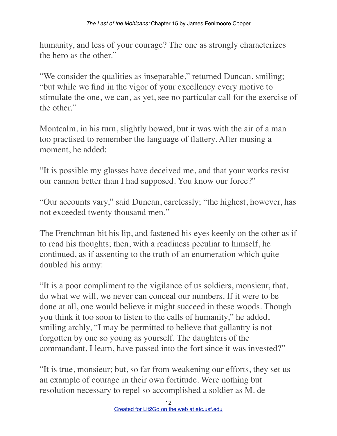humanity, and less of your courage? The one as strongly characterizes the hero as the other."

"We consider the qualities as inseparable," returned Duncan, smiling; "but while we find in the vigor of your excellency every motive to stimulate the one, we can, as yet, see no particular call for the exercise of the other."

Montcalm, in his turn, slightly bowed, but it was with the air of a man too practised to remember the language of flattery. After musing a moment, he added:

"It is possible my glasses have deceived me, and that your works resist our cannon better than I had supposed. You know our force?"

"Our accounts vary," said Duncan, carelessly; "the highest, however, has not exceeded twenty thousand men."

The Frenchman bit his lip, and fastened his eyes keenly on the other as if to read his thoughts; then, with a readiness peculiar to himself, he continued, as if assenting to the truth of an enumeration which quite doubled his army:

"It is a poor compliment to the vigilance of us soldiers, monsieur, that, do what we will, we never can conceal our numbers. If it were to be done at all, one would believe it might succeed in these woods. Though you think it too soon to listen to the calls of humanity," he added, smiling archly, "I may be permitted to believe that gallantry is not forgotten by one so young as yourself. The daughters of the commandant, I learn, have passed into the fort since it was invested?"

"It is true, monsieur; but, so far from weakening our efforts, they set us an example of courage in their own fortitude. Were nothing but resolution necessary to repel so accomplished a soldier as M. de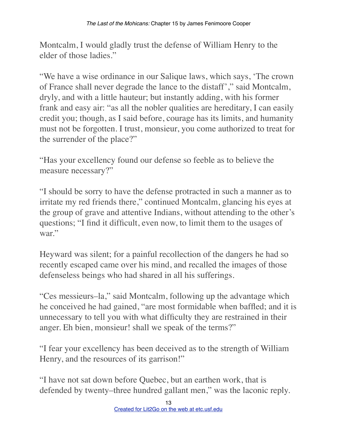Montcalm, I would gladly trust the defense of William Henry to the elder of those ladies."

"We have a wise ordinance in our Salique laws, which says, 'The crown of France shall never degrade the lance to the distaff'," said Montcalm, dryly, and with a little hauteur; but instantly adding, with his former frank and easy air: "as all the nobler qualities are hereditary, I can easily credit you; though, as I said before, courage has its limits, and humanity must not be forgotten. I trust, monsieur, you come authorized to treat for the surrender of the place?"

"Has your excellency found our defense so feeble as to believe the measure necessary?"

"I should be sorry to have the defense protracted in such a manner as to irritate my red friends there," continued Montcalm, glancing his eyes at the group of grave and attentive Indians, without attending to the other's questions; "I find it difficult, even now, to limit them to the usages of war."

Heyward was silent; for a painful recollection of the dangers he had so recently escaped came over his mind, and recalled the images of those defenseless beings who had shared in all his sufferings.

"Ces messieurs–la," said Montcalm, following up the advantage which he conceived he had gained, "are most formidable when baffled; and it is unnecessary to tell you with what difficulty they are restrained in their anger. Eh bien, monsieur! shall we speak of the terms?"

"I fear your excellency has been deceived as to the strength of William Henry, and the resources of its garrison!"

"I have not sat down before Quebec, but an earthen work, that is defended by twenty–three hundred gallant men," was the laconic reply.